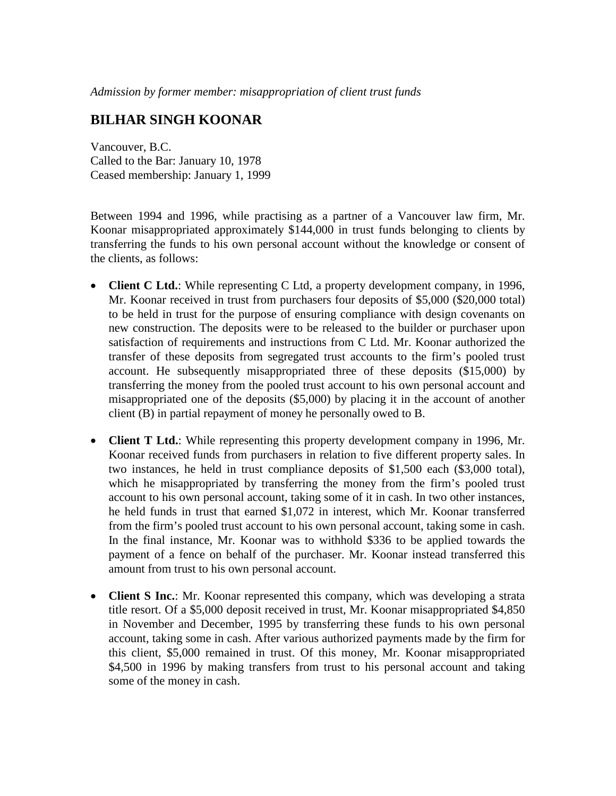## **BILHAR SINGH KOONAR**

Vancouver, B.C. Called to the Bar: January 10, 1978 Ceased membership: January 1, 1999

Between 1994 and 1996, while practising as a partner of a Vancouver law firm, Mr. Koonar misappropriated approximately \$144,000 in trust funds belonging to clients by transferring the funds to his own personal account without the knowledge or consent of the clients, as follows:

- **Client C Ltd.**: While representing C Ltd, a property development company, in 1996, Mr. Koonar received in trust from purchasers four deposits of \$5,000 (\$20,000 total) to be held in trust for the purpose of ensuring compliance with design covenants on new construction. The deposits were to be released to the builder or purchaser upon satisfaction of requirements and instructions from C Ltd. Mr. Koonar authorized the transfer of these deposits from segregated trust accounts to the firm's pooled trust account. He subsequently misappropriated three of these deposits (\$15,000) by transferring the money from the pooled trust account to his own personal account and misappropriated one of the deposits (\$5,000) by placing it in the account of another client (B) in partial repayment of money he personally owed to B.
- **Client T Ltd.**: While representing this property development company in 1996, Mr. Koonar received funds from purchasers in relation to five different property sales. In two instances, he held in trust compliance deposits of \$1,500 each (\$3,000 total), which he misappropriated by transferring the money from the firm's pooled trust account to his own personal account, taking some of it in cash. In two other instances, he held funds in trust that earned \$1,072 in interest, which Mr. Koonar transferred from the firm's pooled trust account to his own personal account, taking some in cash. In the final instance, Mr. Koonar was to withhold \$336 to be applied towards the payment of a fence on behalf of the purchaser. Mr. Koonar instead transferred this amount from trust to his own personal account.
- **Client S Inc.**: Mr. Koonar represented this company, which was developing a strata title resort. Of a \$5,000 deposit received in trust, Mr. Koonar misappropriated \$4,850 in November and December, 1995 by transferring these funds to his own personal account, taking some in cash. After various authorized payments made by the firm for this client, \$5,000 remained in trust. Of this money, Mr. Koonar misappropriated \$4,500 in 1996 by making transfers from trust to his personal account and taking some of the money in cash.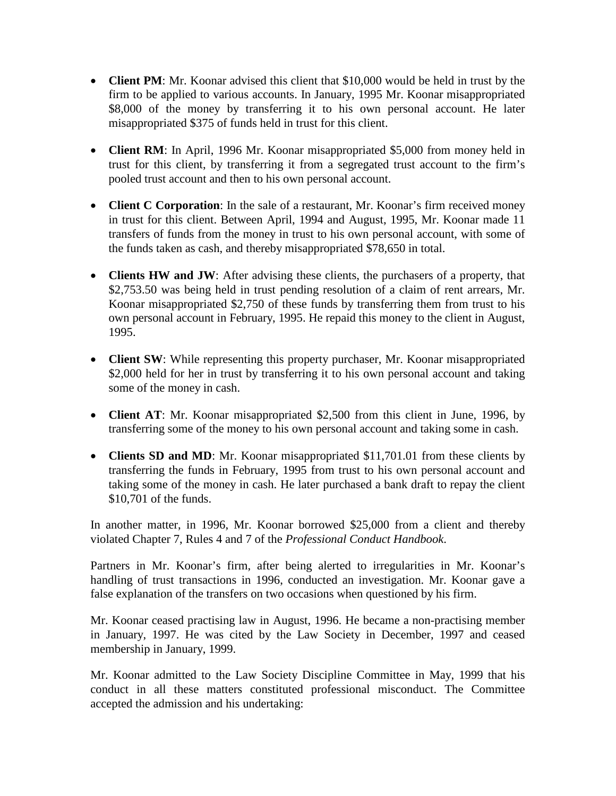- **Client PM**: Mr. Koonar advised this client that \$10,000 would be held in trust by the firm to be applied to various accounts. In January, 1995 Mr. Koonar misappropriated \$8,000 of the money by transferring it to his own personal account. He later misappropriated \$375 of funds held in trust for this client.
- **Client RM**: In April, 1996 Mr. Koonar misappropriated \$5,000 from money held in trust for this client, by transferring it from a segregated trust account to the firm's pooled trust account and then to his own personal account.
- **Client C Corporation**: In the sale of a restaurant, Mr. Koonar's firm received money in trust for this client. Between April, 1994 and August, 1995, Mr. Koonar made 11 transfers of funds from the money in trust to his own personal account, with some of the funds taken as cash, and thereby misappropriated \$78,650 in total.
- **Clients HW and JW**: After advising these clients, the purchasers of a property, that \$2,753.50 was being held in trust pending resolution of a claim of rent arrears, Mr. Koonar misappropriated \$2,750 of these funds by transferring them from trust to his own personal account in February, 1995. He repaid this money to the client in August, 1995.
- **Client SW**: While representing this property purchaser, Mr. Koonar misappropriated \$2,000 held for her in trust by transferring it to his own personal account and taking some of the money in cash.
- **Client AT**: Mr. Koonar misappropriated \$2,500 from this client in June, 1996, by transferring some of the money to his own personal account and taking some in cash.
- **Clients SD and MD**: Mr. Koonar misappropriated \$11,701.01 from these clients by transferring the funds in February, 1995 from trust to his own personal account and taking some of the money in cash. He later purchased a bank draft to repay the client \$10,701 of the funds.

In another matter, in 1996, Mr. Koonar borrowed \$25,000 from a client and thereby violated Chapter 7, Rules 4 and 7 of the *Professional Conduct Handbook*.

Partners in Mr. Koonar's firm, after being alerted to irregularities in Mr. Koonar's handling of trust transactions in 1996, conducted an investigation. Mr. Koonar gave a false explanation of the transfers on two occasions when questioned by his firm.

Mr. Koonar ceased practising law in August, 1996. He became a non-practising member in January, 1997. He was cited by the Law Society in December, 1997 and ceased membership in January, 1999.

Mr. Koonar admitted to the Law Society Discipline Committee in May, 1999 that his conduct in all these matters constituted professional misconduct. The Committee accepted the admission and his undertaking: